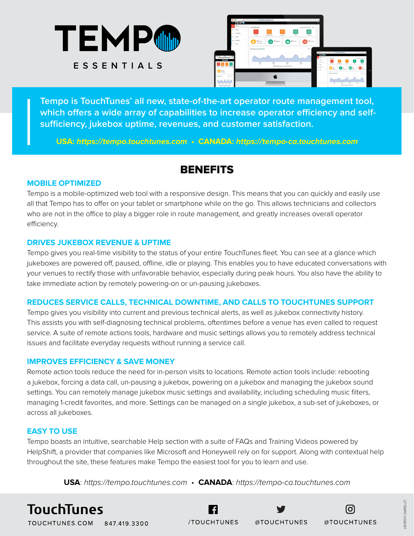



**Tempo is TouchTunes' all new, state-of-the-art operator route management tool, which offers a wide array of capabilities to increase operator efficiency and selfsufficiency, jukebox uptime, revenues, and customer satisfaction.**

**USA: https://tempo.touchtunes.com • CANADA: https://tempo-ca.touchtunes.com**

## **BENEFITS**

#### **MOBILE OPTIMIZED**

Tempo is a mobile-optimized web tool with a responsive design. This means that you can quickly and easily use all that Tempo has to offer on your tablet or smartphone while on the go. This allows technicians and collectors who are not in the office to play a bigger role in route management, and greatly increases overall operator efficiency.

#### **DRIVES JUKEBOX REVENUE & UPTIME**

Tempo gives you real-time visibility to the status of your entire TouchTunes fleet. You can see at a glance which jukeboxes are powered off, paused, offline, idle or playing. This enables you to have educated conversations with your venues to rectify those with unfavorable behavior, especially during peak hours. You also have the ability to take immediate action by remotely powering-on or un-pausing jukeboxes.

## **REDUCES SERVICE CALLS, TECHNICAL DOWNTIME, AND CALLS TO TOUCHTUNES SUPPORT**

Tempo gives you visibility into current and previous technical alerts, as well as jukebox connectivity history. This assists you with self-diagnosing technical problems, oftentimes before a venue has even called to request service. A suite of remote actions tools, hardware and music settings allows you to remotely address technical issues and facilitate everyday requests without running a service call.

## **IMPROVES EFFICIENCY & SAVE MONEY**

Remote action tools reduce the need for in-person visits to locations. Remote action tools include: rebooting a jukebox, forcing a data call, un-pausing a jukebox, powering on a jukebox and managing the jukebox sound settings. You can remotely manage jukebox music settings and availability, including scheduling music filters, managing 1-credit favorites, and more. Settings can be managed on a single jukebox, a sub-set of jukeboxes, or across all jukeboxes.

## **EASY TO USE**

Tempo boasts an intuitive, searchable Help section with a suite of FAQs and Training Videos powered by HelpShift, a provider that companies like Microsoft and Honeywell rely on for support. Along with contextual help throughout the site, these features make Tempo the easiest tool for you to learn and use.

**USA**: *https://tempo.touchtunes.com* • **CANADA**: *https://tempo-ca.touchtunes.com*

/TOUCHTUNES

# **TouchTunes**

TOUCHTUNES.COM 847.419.3300

@TOUCHTUNES